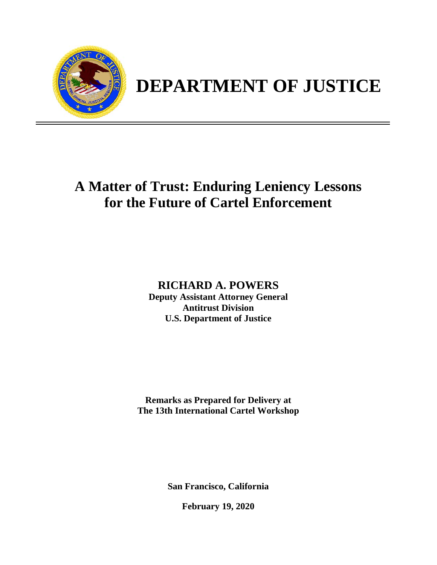

# **DEPARTMENT OF JUSTICE**

# **A Matter of Trust: Enduring Leniency Lessons for the Future of Cartel Enforcement**

### **RICHARD A. POWERS**

**Deputy Assistant Attorney General Antitrust Division U.S. Department of Justice**

**Remarks as Prepared for Delivery at The 13th International Cartel Workshop**

**San Francisco, California**

**February 19, 2020**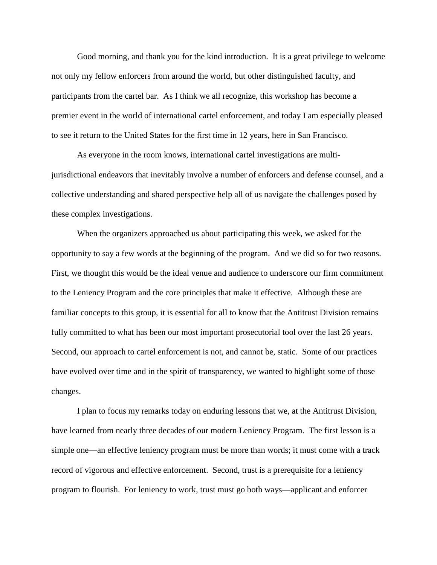Good morning, and thank you for the kind introduction. It is a great privilege to welcome not only my fellow enforcers from around the world, but other distinguished faculty, and participants from the cartel bar. As I think we all recognize, this workshop has become a premier event in the world of international cartel enforcement, and today I am especially pleased to see it return to the United States for the first time in 12 years, here in San Francisco.

As everyone in the room knows, international cartel investigations are multijurisdictional endeavors that inevitably involve a number of enforcers and defense counsel, and a collective understanding and shared perspective help all of us navigate the challenges posed by these complex investigations.

When the organizers approached us about participating this week, we asked for the opportunity to say a few words at the beginning of the program. And we did so for two reasons. First, we thought this would be the ideal venue and audience to underscore our firm commitment to the Leniency Program and the core principles that make it effective. Although these are familiar concepts to this group, it is essential for all to know that the Antitrust Division remains fully committed to what has been our most important prosecutorial tool over the last 26 years. Second, our approach to cartel enforcement is not, and cannot be, static. Some of our practices have evolved over time and in the spirit of transparency, we wanted to highlight some of those changes.

I plan to focus my remarks today on enduring lessons that we, at the Antitrust Division, have learned from nearly three decades of our modern Leniency Program. The first lesson is a simple one—an effective leniency program must be more than words; it must come with a track record of vigorous and effective enforcement. Second, trust is a prerequisite for a leniency program to flourish. For leniency to work, trust must go both ways—applicant and enforcer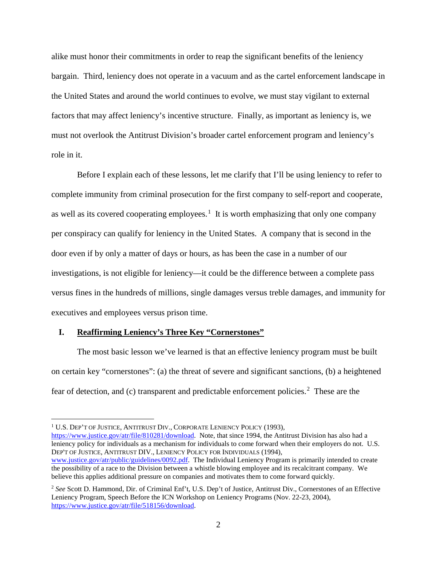alike must honor their commitments in order to reap the significant benefits of the leniency bargain. Third, leniency does not operate in a vacuum and as the cartel enforcement landscape in the United States and around the world continues to evolve, we must stay vigilant to external factors that may affect leniency's incentive structure. Finally, as important as leniency is, we must not overlook the Antitrust Division's broader cartel enforcement program and leniency's role in it.

Before I explain each of these lessons, let me clarify that I'll be using leniency to refer to complete immunity from criminal prosecution for the first company to self-report and cooperate, as well as its covered cooperating employees.<sup>[1](#page-2-0)</sup> It is worth emphasizing that only one company per conspiracy can qualify for leniency in the United States. A company that is second in the door even if by only a matter of days or hours, as has been the case in a number of our investigations, is not eligible for leniency—it could be the difference between a complete pass versus fines in the hundreds of millions, single damages versus treble damages, and immunity for executives and employees versus prison time.

#### **I. Reaffirming Leniency's Three Key "Cornerstones"**

The most basic lesson we've learned is that an effective leniency program must be built on certain key "cornerstones": (a) the threat of severe and significant sanctions, (b) a heightened fear of detection, and (c) transparent and predictable enforcement policies.<sup>[2](#page-2-1)</sup> These are the

<span id="page-2-0"></span><sup>1</sup> U.S. DEP'T OF JUSTICE, ANTITRUST DIV., CORPORATE LENIENCY POLICY (1993),

[https://www.justice.gov/atr/file/810281/download.](https://www.justice.gov/atr/file/810281/download) Note, that since 1994, the Antitrust Division has also had a leniency policy for individuals as a mechanism for individuals to come forward when their employers do not. U.S. DEP'T OF JUSTICE, ANTITRUST DIV., LENIENCY POLICY FOR INDIVIDUALS (1994), [www.justice.gov/atr/public/guidelines/0092.pdf.](http://www.justice.gov/atr/public/guidelines/0092.pdf) The Individual Leniency Program is primarily intended to create

the possibility of a race to the Division between a whistle blowing employee and its recalcitrant company. We believe this applies additional pressure on companies and motivates them to come forward quickly.

<span id="page-2-1"></span><sup>2</sup> *See* Scott D. Hammond, Dir. of Criminal Enf't, U.S. Dep't of Justice, Antitrust Div., Cornerstones of an Effective Leniency Program, Speech Before the ICN Workshop on Leniency Programs (Nov. 22-23, 2004), [https://www.justice.gov/atr/file/518156/download.](https://www.justice.gov/atr/file/518156/download)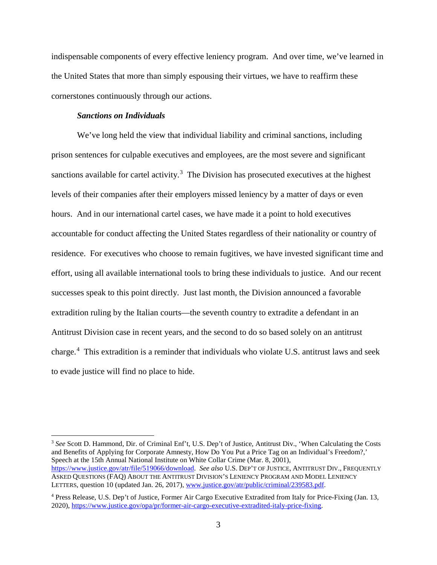indispensable components of every effective leniency program. And over time, we've learned in the United States that more than simply espousing their virtues, we have to reaffirm these cornerstones continuously through our actions.

#### *Sanctions on Individuals*

We've long held the view that individual liability and criminal sanctions, including prison sentences for culpable executives and employees, are the most severe and significant sanctions available for cartel activity.<sup>[3](#page-3-0)</sup> The Division has prosecuted executives at the highest levels of their companies after their employers missed leniency by a matter of days or even hours. And in our international cartel cases, we have made it a point to hold executives accountable for conduct affecting the United States regardless of their nationality or country of residence. For executives who choose to remain fugitives, we have invested significant time and effort, using all available international tools to bring these individuals to justice. And our recent successes speak to this point directly. Just last month, the Division announced a favorable extradition ruling by the Italian courts—the seventh country to extradite a defendant in an Antitrust Division case in recent years, and the second to do so based solely on an antitrust charge.[4](#page-3-1) This extradition is a reminder that individuals who violate U.S. antitrust laws and seek to evade justice will find no place to hide.

<span id="page-3-0"></span> 3 *See* Scott D. Hammond, Dir. of Criminal Enf't, U.S. Dep't of Justice, Antitrust Div., 'When Calculating the Costs and Benefits of Applying for Corporate Amnesty, How Do You Put a Price Tag on an Individual's Freedom?,' Speech at the 15th Annual National Institute on White Collar Crime (Mar. 8, 2001), [https://www.justice.gov/atr/file/519066/download.](https://www.justice.gov/atr/file/519066/download) *See also* U.S. DEP'T OF JUSTICE, ANTITRUST DIV., FREQUENTLY ASKED QUESTIONS (FAQ) ABOUT THE ANTITRUST DIVISION'S LENIENCY PROGRAM AND MODEL LENIENCY LETTERS, question 10 (updated Jan. 26, 2017), [www.justice.gov/atr/public/criminal/239583.pdf.](http://www.justice.gov/atr/public/criminal/239583.pdf)

<span id="page-3-1"></span><sup>4</sup> Press Release, U.S. Dep't of Justice, Former Air Cargo Executive Extradited from Italy for Price-Fixing (Jan. 13, 2020), [https://www.justice.gov/opa/pr/former-air-cargo-executive-extradited-italy-price-fixing.](https://www.justice.gov/opa/pr/former-air-cargo-executive-extradited-italy-price-fixing)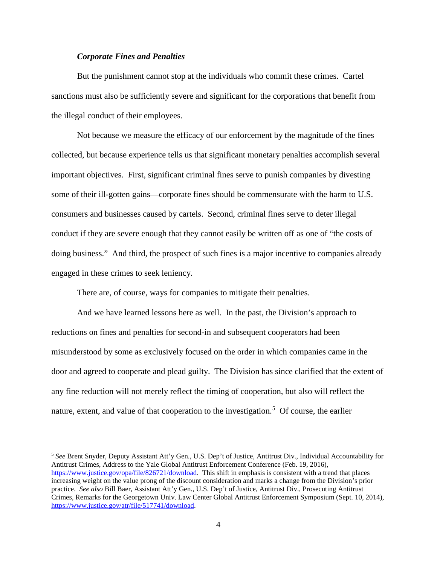#### *Corporate Fines and Penalties*

But the punishment cannot stop at the individuals who commit these crimes. Cartel sanctions must also be sufficiently severe and significant for the corporations that benefit from the illegal conduct of their employees.

Not because we measure the efficacy of our enforcement by the magnitude of the fines collected, but because experience tells us that significant monetary penalties accomplish several important objectives. First, significant criminal fines serve to punish companies by divesting some of their ill-gotten gains—corporate fines should be commensurate with the harm to U.S. consumers and businesses caused by cartels. Second, criminal fines serve to deter illegal conduct if they are severe enough that they cannot easily be written off as one of "the costs of doing business." And third, the prospect of such fines is a major incentive to companies already engaged in these crimes to seek leniency.

There are, of course, ways for companies to mitigate their penalties.

And we have learned lessons here as well. In the past, the Division's approach to reductions on fines and penalties for second-in and subsequent cooperators had been misunderstood by some as exclusively focused on the order in which companies came in the door and agreed to cooperate and plead guilty. The Division has since clarified that the extent of any fine reduction will not merely reflect the timing of cooperation, but also will reflect the nature, extent, and value of that cooperation to the investigation.<sup>[5](#page-4-0)</sup> Of course, the earlier

<span id="page-4-0"></span> <sup>5</sup> *See* Brent Snyder, Deputy Assistant Att'y Gen., U.S. Dep't of Justice, Antitrust Div., Individual Accountability for Antitrust Crimes, Address to the Yale Global Antitrust Enforcement Conference (Feb. 19, 2016), [https://www.justice.gov/opa/file/826721/download.](https://www.justice.gov/opa/file/826721/download) This shift in emphasis is consistent with a trend that places increasing weight on the value prong of the discount consideration and marks a change from the Division's prior practice. *See also* Bill Baer, Assistant Att'y Gen., U.S. Dep't of Justice, Antitrust Div., Prosecuting Antitrust Crimes, Remarks for the Georgetown Univ. Law Center Global Antitrust Enforcement Symposium (Sept. 10, 2014), [https://www.justice.gov/atr/file/517741/download.](https://www.justice.gov/atr/file/517741/download)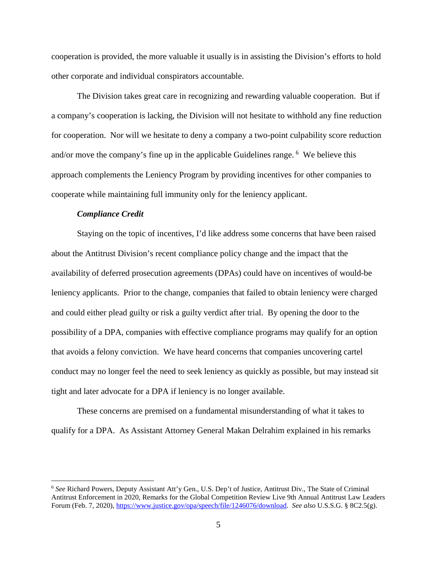cooperation is provided, the more valuable it usually is in assisting the Division's efforts to hold other corporate and individual conspirators accountable.

The Division takes great care in recognizing and rewarding valuable cooperation. But if a company's cooperation is lacking, the Division will not hesitate to withhold any fine reduction for cooperation. Nor will we hesitate to deny a company a two-point culpability score reduction and/or move the company's fine up in the applicable Guidelines range. <sup>[6](#page-5-0)</sup> We believe this approach complements the Leniency Program by providing incentives for other companies to cooperate while maintaining full immunity only for the leniency applicant.

#### *Compliance Credit*

Staying on the topic of incentives, I'd like address some concerns that have been raised about the Antitrust Division's recent compliance policy change and the impact that the availability of deferred prosecution agreements (DPAs) could have on incentives of would-be leniency applicants. Prior to the change, companies that failed to obtain leniency were charged and could either plead guilty or risk a guilty verdict after trial. By opening the door to the possibility of a DPA, companies with effective compliance programs may qualify for an option that avoids a felony conviction. We have heard concerns that companies uncovering cartel conduct may no longer feel the need to seek leniency as quickly as possible, but may instead sit tight and later advocate for a DPA if leniency is no longer available.

These concerns are premised on a fundamental misunderstanding of what it takes to qualify for a DPA. As Assistant Attorney General Makan Delrahim explained in his remarks

<span id="page-5-0"></span> <sup>6</sup> *See* Richard Powers, Deputy Assistant Att'y Gen., U.S. Dep't of Justice, Antitrust Div., The State of Criminal Antitrust Enforcement in 2020, Remarks for the Global Competition Review Live 9th Annual Antitrust Law Leaders Forum (Feb. 7, 2020), [https://www.justice.gov/opa/speech/file/1246076/download.](https://www.justice.gov/opa/speech/file/1246076/download) *See also* U.S.S.G. § 8C2.5(g).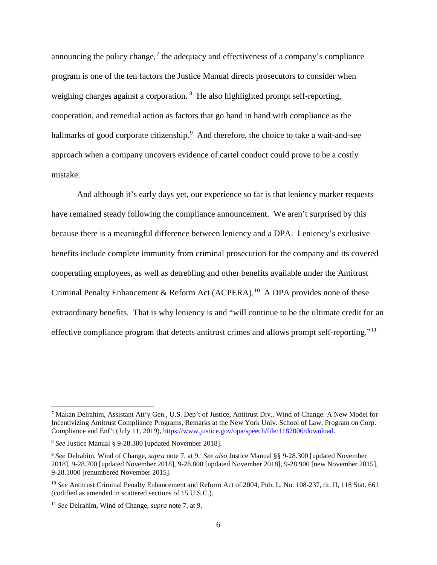announcing the policy change, $<sup>7</sup>$  $<sup>7</sup>$  $<sup>7</sup>$  the adequacy and effectiveness of a company's compliance</sup> program is one of the ten factors the Justice Manual directs prosecutors to consider when weighing charges against a corporation. <sup>[8](#page-6-1)</sup> He also highlighted prompt self-reporting, cooperation, and remedial action as factors that go hand in hand with compliance as the hallmarks of good corporate citizenship.<sup>[9](#page-6-2)</sup> And therefore, the choice to take a wait-and-see approach when a company uncovers evidence of cartel conduct could prove to be a costly mistake.

And although it's early days yet, our experience so far is that leniency marker requests have remained steady following the compliance announcement. We aren't surprised by this because there is a meaningful difference between leniency and a DPA. Leniency's exclusive benefits include complete immunity from criminal prosecution for the company and its covered cooperating employees, as well as detrebling and other benefits available under the Antitrust Criminal Penalty Enhancement & Reform Act (ACPERA).[10](#page-6-3) A DPA provides none of these extraordinary benefits. That is why leniency is and "will continue to be the ultimate credit for an effective compliance program that detects antitrust crimes and allows prompt self-reporting."<sup>[11](#page-6-4)</sup>

<span id="page-6-0"></span> <sup>7</sup> Makan Delrahim, Assistant Att'y Gen., U.S. Dep't of Justice, Antitrust Div., Wind of Change: A New Model for Incentivizing Antitrust Compliance Programs, Remarks at the New York Univ. School of Law, Program on Corp. Compliance and Enf't (July 11, 2019)[, https://www.justice.gov/opa/speech/file/1182006/download.](https://www.justice.gov/opa/speech/file/1182006/download)

<span id="page-6-1"></span><sup>8</sup> *See* Justice Manual § 9-28.300 [updated November 2018].

<span id="page-6-2"></span><sup>9</sup> *See* Delrahim, Wind of Change, *supra* note 7, at 9. *See also* Justice Manual §§ 9-28.300 [updated November 2018], 9-28.700 [updated November 2018], 9-28.800 [updated November 2018], 9-28.900 [new November 2015], 9-28.1000 [renumbered November 2015].

<span id="page-6-3"></span><sup>10</sup> *See* Antitrust Criminal Penalty Enhancement and Reform Act of 2004, Pub. L. No. 108-237, tit. II, 118 Stat. 661 (codified as amended in scattered sections of 15 U.S.C.).

<span id="page-6-4"></span><sup>11</sup> *See* Delrahim, Wind of Change, *supra* note 7, at 9.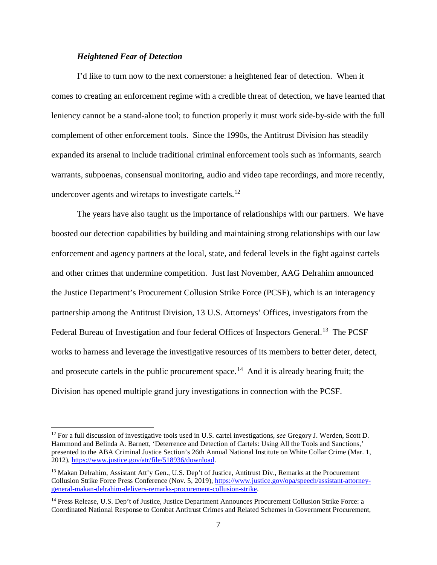#### *Heightened Fear of Detection*

I'd like to turn now to the next cornerstone: a heightened fear of detection. When it comes to creating an enforcement regime with a credible threat of detection, we have learned that leniency cannot be a stand-alone tool; to function properly it must work side-by-side with the full complement of other enforcement tools. Since the 1990s, the Antitrust Division has steadily expanded its arsenal to include traditional criminal enforcement tools such as informants, search warrants, subpoenas, consensual monitoring, audio and video tape recordings, and more recently, undercover agents and wiretaps to investigate cartels.<sup>12</sup>

The years have also taught us the importance of relationships with our partners. We have boosted our detection capabilities by building and maintaining strong relationships with our law enforcement and agency partners at the local, state, and federal levels in the fight against cartels and other crimes that undermine competition. Just last November, AAG Delrahim announced the Justice Department's Procurement Collusion Strike Force (PCSF), which is an interagency partnership among the Antitrust Division, 13 U.S. Attorneys' Offices, investigators from the Federal Bureau of Investigation and four federal Offices of Inspectors General.<sup>[13](#page-7-1)</sup> The PCSF works to harness and leverage the investigative resources of its members to better deter, detect, and prosecute cartels in the public procurement space.<sup>14</sup> And it is already bearing fruit; the Division has opened multiple grand jury investigations in connection with the PCSF.

<span id="page-7-0"></span> <sup>12</sup> For a full discussion of investigative tools used in U.S. cartel investigations, *see* Gregory J. Werden, Scott D. Hammond and Belinda A. Barnett, 'Deterrence and Detection of Cartels: Using All the Tools and Sanctions,' presented to the ABA Criminal Justice Section's 26th Annual National Institute on White Collar Crime (Mar. 1, 2012), [https://www.justice.gov/atr/file/518936/download.](https://www.justice.gov/atr/file/518936/download) 

<span id="page-7-1"></span><sup>&</sup>lt;sup>13</sup> Makan Delrahim, Assistant Att'y Gen., U.S. Dep't of Justice, Antitrust Div., Remarks at the Procurement Collusion Strike Force Press Conference (Nov. 5, 2019), [https://www.justice.gov/opa/speech/assistant-attorney](https://www.justice.gov/opa/speech/assistant-attorney-general-makan-delrahim-delivers-remarks-procurement-collusion-strike)[general-makan-delrahim-delivers-remarks-procurement-collusion-strike.](https://www.justice.gov/opa/speech/assistant-attorney-general-makan-delrahim-delivers-remarks-procurement-collusion-strike)

<span id="page-7-2"></span><sup>&</sup>lt;sup>14</sup> Press Release, U.S. Dep't of Justice, Justice Department Announces Procurement Collusion Strike Force: a Coordinated National Response to Combat Antitrust Crimes and Related Schemes in Government Procurement,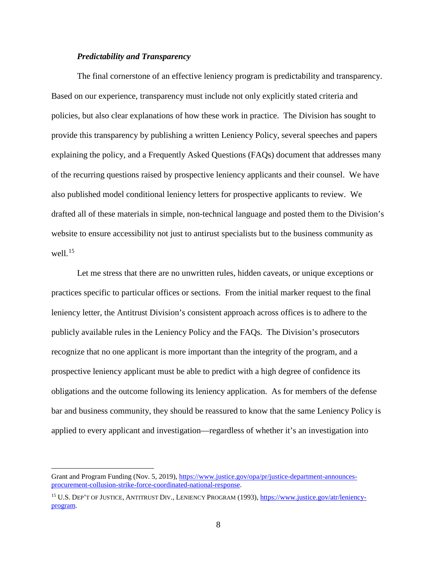#### *Predictability and Transparency*

The final cornerstone of an effective leniency program is predictability and transparency. Based on our experience, transparency must include not only explicitly stated criteria and policies, but also clear explanations of how these work in practice. The Division has sought to provide this transparency by publishing a written Leniency Policy, several speeches and papers explaining the policy, and a Frequently Asked Questions (FAQs) document that addresses many of the recurring questions raised by prospective leniency applicants and their counsel. We have also published model conditional leniency letters for prospective applicants to review. We drafted all of these materials in simple, non-technical language and posted them to the Division's website to ensure accessibility not just to antirust specialists but to the business community as well. $15$ 

Let me stress that there are no unwritten rules, hidden caveats, or unique exceptions or practices specific to particular offices or sections. From the initial marker request to the final leniency letter, the Antitrust Division's consistent approach across offices is to adhere to the publicly available rules in the Leniency Policy and the FAQs. The Division's prosecutors recognize that no one applicant is more important than the integrity of the program, and a prospective leniency applicant must be able to predict with a high degree of confidence its obligations and the outcome following its leniency application. As for members of the defense bar and business community, they should be reassured to know that the same Leniency Policy is applied to every applicant and investigation—regardless of whether it's an investigation into

 $\overline{a}$ 

Grant and Program Funding (Nov. 5, 2019), [https://www.justice.gov/opa/pr/justice-department-announces](https://www.justice.gov/opa/pr/justice-department-announces-procurement-collusion-strike-force-coordinated-national-response)[procurement-collusion-strike-force-coordinated-national-response.](https://www.justice.gov/opa/pr/justice-department-announces-procurement-collusion-strike-force-coordinated-national-response) 

<span id="page-8-0"></span><sup>&</sup>lt;sup>15</sup> U.S. DEP'T OF JUSTICE, ANTITRUST DIV., LENIENCY PROGRAM (1993), [https://www.justice.gov/atr/leniency](https://www.justice.gov/atr/leniency-program)[program.](https://www.justice.gov/atr/leniency-program)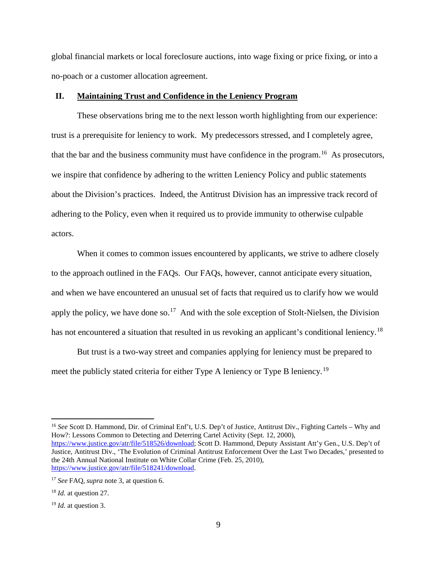global financial markets or local foreclosure auctions, into wage fixing or price fixing, or into a no-poach or a customer allocation agreement.

#### **II. Maintaining Trust and Confidence in the Leniency Program**

These observations bring me to the next lesson worth highlighting from our experience: trust is a prerequisite for leniency to work. My predecessors stressed, and I completely agree, that the bar and the business community must have confidence in the program.<sup>[16](#page-9-0)</sup> As prosecutors, we inspire that confidence by adhering to the written Leniency Policy and public statements about the Division's practices. Indeed, the Antitrust Division has an impressive track record of adhering to the Policy, even when it required us to provide immunity to otherwise culpable actors.

When it comes to common issues encountered by applicants, we strive to adhere closely to the approach outlined in the FAQs. Our FAQs, however, cannot anticipate every situation, and when we have encountered an unusual set of facts that required us to clarify how we would apply the policy, we have done so.<sup>17</sup> And with the sole exception of Stolt-Nielsen, the Division has not encountered a situation that resulted in us revoking an applicant's conditional leniency.<sup>18</sup>

But trust is a two-way street and companies applying for leniency must be prepared to meet the publicly stated criteria for either Type A leniency or Type B leniency.<sup>[19](#page-9-3)</sup>

<span id="page-9-0"></span> 16 *See* Scott D. Hammond, Dir. of Criminal Enf't, U.S. Dep't of Justice, Antitrust Div., Fighting Cartels – Why and How?: Lessons Common to Detecting and Deterring Cartel Activity (Sept. 12, 2000), [https://www.justice.gov/atr/file/518526/download;](https://www.justice.gov/atr/file/518526/download) Scott D. Hammond, Deputy Assistant Att'y Gen., U.S. Dep't of Justice, Antitrust Div., 'The Evolution of Criminal Antitrust Enforcement Over the Last Two Decades,' presented to the 24th Annual National Institute on White Collar Crime (Feb. 25, 2010), [https://www.justice.gov/atr/file/518241/download.](https://www.justice.gov/atr/file/518241/download)

<span id="page-9-1"></span><sup>17</sup> *See* FAQ, *supra* note 3, at question 6.

<span id="page-9-2"></span><sup>18</sup> *Id.* at question 27.

<span id="page-9-3"></span><sup>19</sup> *Id.* at question 3.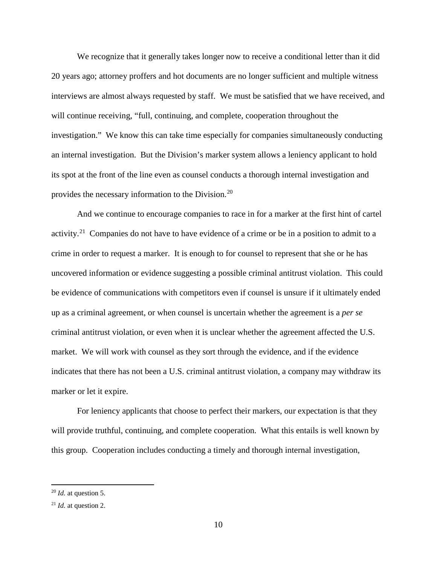We recognize that it generally takes longer now to receive a conditional letter than it did 20 years ago; attorney proffers and hot documents are no longer sufficient and multiple witness interviews are almost always requested by staff. We must be satisfied that we have received, and will continue receiving, "full, continuing, and complete, cooperation throughout the investigation." We know this can take time especially for companies simultaneously conducting an internal investigation. But the Division's marker system allows a leniency applicant to hold its spot at the front of the line even as counsel conducts a thorough internal investigation and provides the necessary information to the Division.<sup>[20](#page-10-0)</sup>

And we continue to encourage companies to race in for a marker at the first hint of cartel activity.<sup>21</sup> Companies do not have to have evidence of a crime or be in a position to admit to a crime in order to request a marker. It is enough to for counsel to represent that she or he has uncovered information or evidence suggesting a possible criminal antitrust violation. This could be evidence of communications with competitors even if counsel is unsure if it ultimately ended up as a criminal agreement, or when counsel is uncertain whether the agreement is a *per se* criminal antitrust violation, or even when it is unclear whether the agreement affected the U.S. market. We will work with counsel as they sort through the evidence, and if the evidence indicates that there has not been a U.S. criminal antitrust violation, a company may withdraw its marker or let it expire.

For leniency applicants that choose to perfect their markers, our expectation is that they will provide truthful, continuing, and complete cooperation. What this entails is well known by this group. Cooperation includes conducting a timely and thorough internal investigation,

<span id="page-10-0"></span> <sup>20</sup> *Id.* at question 5.

<span id="page-10-1"></span><sup>21</sup> *Id.* at question 2.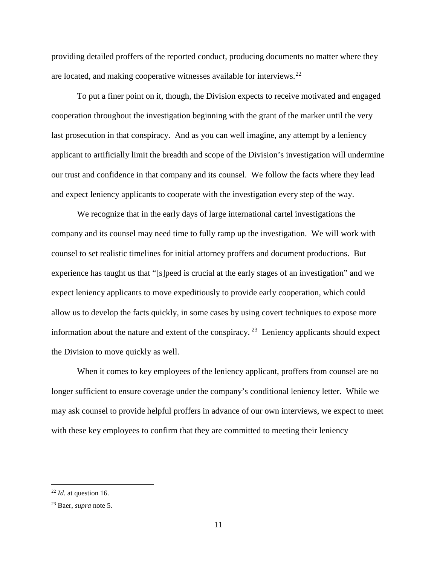providing detailed proffers of the reported conduct, producing documents no matter where they are located, and making cooperative witnesses available for interviews.[22](#page-11-0) 

To put a finer point on it, though, the Division expects to receive motivated and engaged cooperation throughout the investigation beginning with the grant of the marker until the very last prosecution in that conspiracy. And as you can well imagine, any attempt by a leniency applicant to artificially limit the breadth and scope of the Division's investigation will undermine our trust and confidence in that company and its counsel. We follow the facts where they lead and expect leniency applicants to cooperate with the investigation every step of the way.

We recognize that in the early days of large international cartel investigations the company and its counsel may need time to fully ramp up the investigation. We will work with counsel to set realistic timelines for initial attorney proffers and document productions. But experience has taught us that "[s]peed is crucial at the early stages of an investigation" and we expect leniency applicants to move expeditiously to provide early cooperation, which could allow us to develop the facts quickly, in some cases by using covert techniques to expose more information about the nature and extent of the conspiracy. <sup>23</sup> Leniency applicants should expect the Division to move quickly as well.

When it comes to key employees of the leniency applicant, proffers from counsel are no longer sufficient to ensure coverage under the company's conditional leniency letter. While we may ask counsel to provide helpful proffers in advance of our own interviews, we expect to meet with these key employees to confirm that they are committed to meeting their leniency

<span id="page-11-0"></span> <sup>22</sup> *Id.* at question 16.

<span id="page-11-1"></span><sup>23</sup> Baer, *supra* note 5.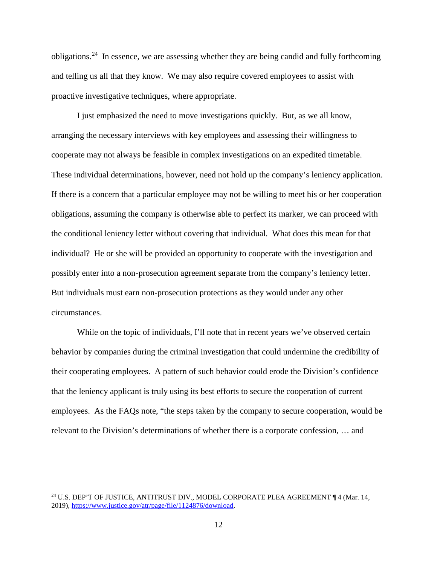obligations.<sup>[24](#page-12-0)</sup> In essence, we are assessing whether they are being candid and fully forthcoming and telling us all that they know. We may also require covered employees to assist with proactive investigative techniques, where appropriate.

I just emphasized the need to move investigations quickly. But, as we all know, arranging the necessary interviews with key employees and assessing their willingness to cooperate may not always be feasible in complex investigations on an expedited timetable. These individual determinations, however, need not hold up the company's leniency application. If there is a concern that a particular employee may not be willing to meet his or her cooperation obligations, assuming the company is otherwise able to perfect its marker, we can proceed with the conditional leniency letter without covering that individual. What does this mean for that individual? He or she will be provided an opportunity to cooperate with the investigation and possibly enter into a non-prosecution agreement separate from the company's leniency letter. But individuals must earn non-prosecution protections as they would under any other circumstances.

While on the topic of individuals, I'll note that in recent years we've observed certain behavior by companies during the criminal investigation that could undermine the credibility of their cooperating employees. A pattern of such behavior could erode the Division's confidence that the leniency applicant is truly using its best efforts to secure the cooperation of current employees. As the FAQs note, "the steps taken by the company to secure cooperation, would be relevant to the Division's determinations of whether there is a corporate confession, … and

<span id="page-12-0"></span><sup>&</sup>lt;sup>24</sup> U.S. DEP'T OF JUSTICE, ANTITRUST DIV., MODEL CORPORATE PLEA AGREEMENT ¶ 4 (Mar. 14, 2019), [https://www.justice.gov/atr/page/file/1124876/download.](https://www.justice.gov/atr/page/file/1124876/download)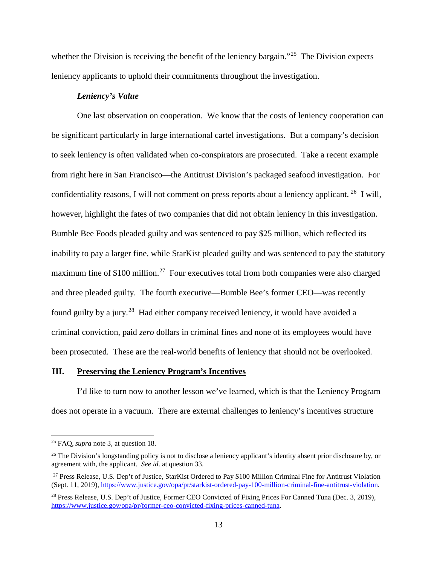whether the Division is receiving the benefit of the leniency bargain."<sup>[25](#page-13-0)</sup> The Division expects leniency applicants to uphold their commitments throughout the investigation.

#### *Leniency's Value*

One last observation on cooperation. We know that the costs of leniency cooperation can be significant particularly in large international cartel investigations. But a company's decision to seek leniency is often validated when co-conspirators are prosecuted. Take a recent example from right here in San Francisco—the Antitrust Division's packaged seafood investigation. For confidentiality reasons, I will not comment on press reports about a leniency applicant. <sup>26</sup> I will, however, highlight the fates of two companies that did not obtain leniency in this investigation. Bumble Bee Foods pleaded guilty and was sentenced to pay \$25 million, which reflected its inability to pay a larger fine, while StarKist pleaded guilty and was sentenced to pay the statutory maximum fine of \$100 million.<sup>27</sup> Four executives total from both companies were also charged and three pleaded guilty. The fourth executive—Bumble Bee's former CEO—was recently found guilty by a jury.[28](#page-13-3) Had either company received leniency, it would have avoided a criminal conviction, paid *zero* dollars in criminal fines and none of its employees would have been prosecuted. These are the real-world benefits of leniency that should not be overlooked.

#### **III. Preserving the Leniency Program's Incentives**

I'd like to turn now to another lesson we've learned, which is that the Leniency Program does not operate in a vacuum. There are external challenges to leniency's incentives structure

<span id="page-13-0"></span> <sup>25</sup> FAQ, *supra* note 3, at question 18.

<span id="page-13-1"></span> $26$  The Division's longstanding policy is not to disclose a leniency applicant's identity absent prior disclosure by, or agreement with, the applicant. *See id*. at question 33.

<span id="page-13-2"></span><sup>&</sup>lt;sup>27</sup> Press Release, U.S. Dep't of Justice, StarKist Ordered to Pay \$100 Million Criminal Fine for Antitrust Violation (Sept. 11, 2019)[, https://www.justice.gov/opa/pr/starkist-ordered-pay-100-million-criminal-fine-antitrust-violation.](https://www.justice.gov/opa/pr/starkist-ordered-pay-100-million-criminal-fine-antitrust-violation)

<span id="page-13-3"></span><sup>&</sup>lt;sup>28</sup> Press Release, U.S. Dep't of Justice, Former CEO Convicted of Fixing Prices For Canned Tuna (Dec. 3, 2019), [https://www.justice.gov/opa/pr/former-ceo-convicted-fixing-prices-canned-tuna.](https://www.justice.gov/opa/pr/former-ceo-convicted-fixing-prices-canned-tuna)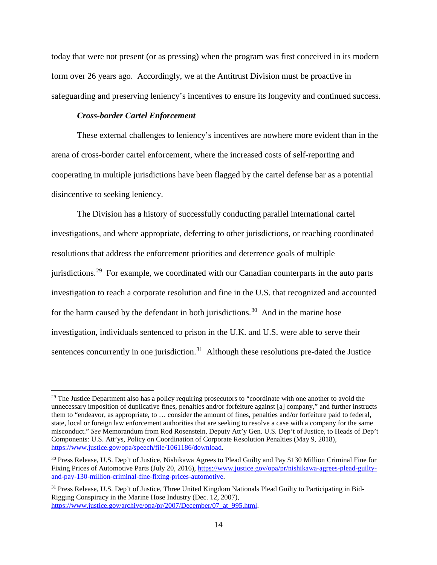today that were not present (or as pressing) when the program was first conceived in its modern form over 26 years ago. Accordingly, we at the Antitrust Division must be proactive in safeguarding and preserving leniency's incentives to ensure its longevity and continued success.

#### *Cross-border Cartel Enforcement*

These external challenges to leniency's incentives are nowhere more evident than in the arena of cross-border cartel enforcement, where the increased costs of self-reporting and cooperating in multiple jurisdictions have been flagged by the cartel defense bar as a potential disincentive to seeking leniency.

The Division has a history of successfully conducting parallel international cartel investigations, and where appropriate, deferring to other jurisdictions, or reaching coordinated resolutions that address the enforcement priorities and deterrence goals of multiple jurisdictions.<sup>[29](#page-14-0)</sup> For example, we coordinated with our Canadian counterparts in the auto parts investigation to reach a corporate resolution and fine in the U.S. that recognized and accounted for the harm caused by the defendant in both jurisdictions.<sup>30</sup> And in the marine hose investigation, individuals sentenced to prison in the U.K. and U.S. were able to serve their sentences concurrently in one jurisdiction. $31$  Although these resolutions pre-dated the Justice

<span id="page-14-0"></span><sup>&</sup>lt;sup>29</sup> The Justice Department also has a policy requiring prosecutors to "coordinate with one another to avoid the unnecessary imposition of duplicative fines, penalties and/or forfeiture against [a] company," and further instructs them to "endeavor, as appropriate, to … consider the amount of fines, penalties and/or forfeiture paid to federal, state, local or foreign law enforcement authorities that are seeking to resolve a case with a company for the same misconduct." *See* Memorandum from Rod Rosenstein, Deputy Att'y Gen. U.S. Dep't of Justice, to Heads of Dep't Components: U.S. Att'ys, Policy on Coordination of Corporate Resolution Penalties (May 9, 2018), [https://www.justice.gov/opa/speech/file/1061186/download.](https://www.justice.gov/opa/speech/file/1061186/download)

<span id="page-14-1"></span><sup>30</sup> Press Release, U.S. Dep't of Justice, Nishikawa Agrees to Plead Guilty and Pay \$130 Million Criminal Fine for Fixing Prices of Automotive Parts (July 20, 2016), [https://www.justice.gov/opa/pr/nishikawa-agrees-plead-guilty](https://www.justice.gov/opa/pr/nishikawa-agrees-plead-guilty-and-pay-130-million-criminal-fine-fixing-prices-automotive)[and-pay-130-million-criminal-fine-fixing-prices-automotive.](https://www.justice.gov/opa/pr/nishikawa-agrees-plead-guilty-and-pay-130-million-criminal-fine-fixing-prices-automotive)

<span id="page-14-2"></span><sup>&</sup>lt;sup>31</sup> Press Release, U.S. Dep't of Justice, Three United Kingdom Nationals Plead Guilty to Participating in Bid-Rigging Conspiracy in the Marine Hose Industry (Dec. 12, 2007), [https://www.justice.gov/archive/opa/pr/2007/December/07\\_at\\_995.html.](https://www.justice.gov/archive/opa/pr/2007/December/07_at_995.html)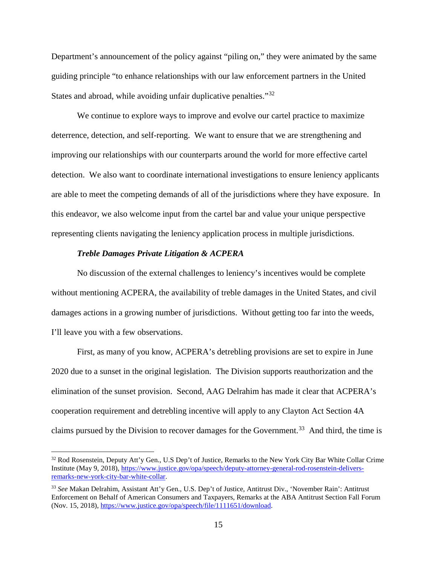Department's announcement of the policy against "piling on," they were animated by the same guiding principle "to enhance relationships with our law enforcement partners in the United States and abroad, while avoiding unfair duplicative penalties."<sup>32</sup>

We continue to explore ways to improve and evolve our cartel practice to maximize deterrence, detection, and self-reporting. We want to ensure that we are strengthening and improving our relationships with our counterparts around the world for more effective cartel detection. We also want to coordinate international investigations to ensure leniency applicants are able to meet the competing demands of all of the jurisdictions where they have exposure. In this endeavor, we also welcome input from the cartel bar and value your unique perspective representing clients navigating the leniency application process in multiple jurisdictions.

#### *Treble Damages Private Litigation & ACPERA*

No discussion of the external challenges to leniency's incentives would be complete without mentioning ACPERA, the availability of treble damages in the United States, and civil damages actions in a growing number of jurisdictions. Without getting too far into the weeds, I'll leave you with a few observations.

First, as many of you know, ACPERA's detrebling provisions are set to expire in June 2020 due to a sunset in the original legislation. The Division supports reauthorization and the elimination of the sunset provision. Second, AAG Delrahim has made it clear that ACPERA's cooperation requirement and detrebling incentive will apply to any Clayton Act Section 4A claims pursued by the Division to recover damages for the Government.<sup>33</sup> And third, the time is

<span id="page-15-0"></span><sup>&</sup>lt;sup>32</sup> Rod Rosenstein, Deputy Att'y Gen., U.S Dep't of Justice, Remarks to the New York City Bar White Collar Crime Institute (May 9, 2018), [https://www.justice.gov/opa/speech/deputy-attorney-general-rod-rosenstein-delivers](https://www.justice.gov/opa/speech/deputy-attorney-general-rod-rosenstein-delivers-remarks-new-york-city-bar-white-collar)[remarks-new-york-city-bar-white-collar.](https://www.justice.gov/opa/speech/deputy-attorney-general-rod-rosenstein-delivers-remarks-new-york-city-bar-white-collar)

<span id="page-15-1"></span><sup>33</sup> *See* Makan Delrahim, Assistant Att'y Gen., U.S. Dep't of Justice, Antitrust Div., 'November Rain': Antitrust Enforcement on Behalf of American Consumers and Taxpayers, Remarks at the ABA Antitrust Section Fall Forum (Nov. 15, 2018), [https://www.justice.gov/opa/speech/file/1111651/download.](https://www.justice.gov/opa/speech/file/1111651/download)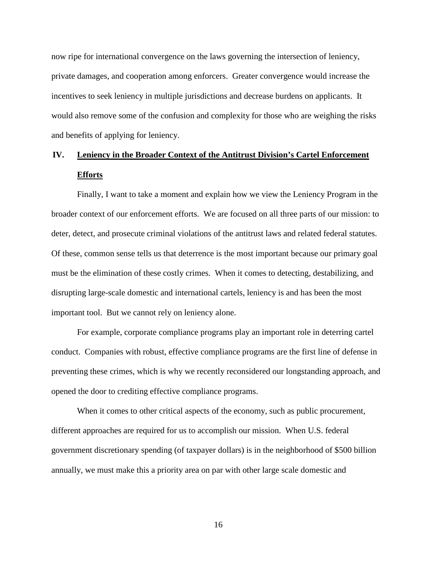now ripe for international convergence on the laws governing the intersection of leniency, private damages, and cooperation among enforcers. Greater convergence would increase the incentives to seek leniency in multiple jurisdictions and decrease burdens on applicants. It would also remove some of the confusion and complexity for those who are weighing the risks and benefits of applying for leniency.

## **IV. Leniency in the Broader Context of the Antitrust Division's Cartel Enforcement Efforts**

Finally, I want to take a moment and explain how we view the Leniency Program in the broader context of our enforcement efforts. We are focused on all three parts of our mission: to deter, detect, and prosecute criminal violations of the antitrust laws and related federal statutes. Of these, common sense tells us that deterrence is the most important because our primary goal must be the elimination of these costly crimes. When it comes to detecting, destabilizing, and disrupting large-scale domestic and international cartels, leniency is and has been the most important tool. But we cannot rely on leniency alone.

For example, corporate compliance programs play an important role in deterring cartel conduct. Companies with robust, effective compliance programs are the first line of defense in preventing these crimes, which is why we recently reconsidered our longstanding approach, and opened the door to crediting effective compliance programs.

When it comes to other critical aspects of the economy, such as public procurement, different approaches are required for us to accomplish our mission. When U.S. federal government discretionary spending (of taxpayer dollars) is in the neighborhood of \$500 billion annually, we must make this a priority area on par with other large scale domestic and

16